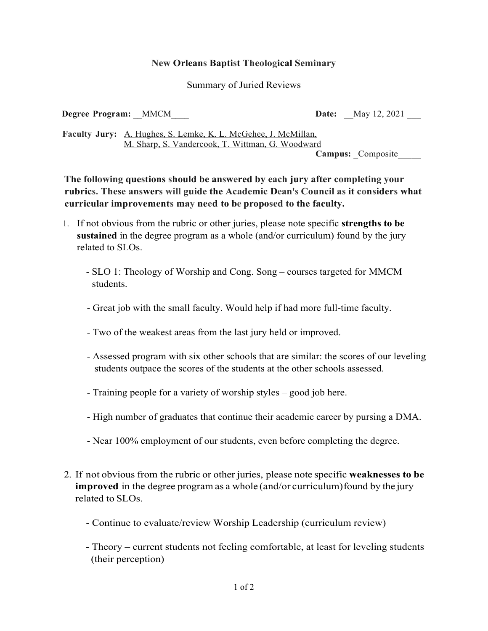## **New Orleans Baptist Theological Seminary**

## Summary of Juried Reviews

**Degree Program:** <u>MMCM</u> **Date:** <u>May 12, 2021</u>

**Faculty Jury:** A. Hughes, S. Lemke, K. L. McGehee, J. McMillan, M. Sharp, S. Vandercook, T. Wittman, G. Woodward

Campus: Composite

**The following questions should be answered by each jury after completing your rubrics. These answers will guide the Academic Dean's Council as it considers what curricular improvements may need to be proposed to the faculty.**

- 1. If not obvious from the rubric or other juries, please note specific **strengths to be sustained** in the degree program as a whole (and/or curriculum) found by the jury related to SLOs.
	- SLO 1: Theology of Worship and Cong. Song courses targeted for MMCM students.
	- Great job with the small faculty. Would help if had more full-time faculty.
	- Two of the weakest areas from the last jury held or improved.
	- Assessed program with six other schools that are similar: the scores of our leveling students outpace the scores of the students at the other schools assessed.
	- Training people for a variety of worship styles good job here.
	- High number of graduates that continue their academic career by pursing a DMA.
	- Near 100% employment of our students, even before completing the degree.
- 2. If not obvious from the rubric or other juries, please note specific **weaknesses to be improved** in the degree program as a whole (and/or curriculum) found by the jury related to SLOs.
	- Continue to evaluate/review Worship Leadership (curriculum review)
	- Theory current students not feeling comfortable, at least for leveling students (their perception)